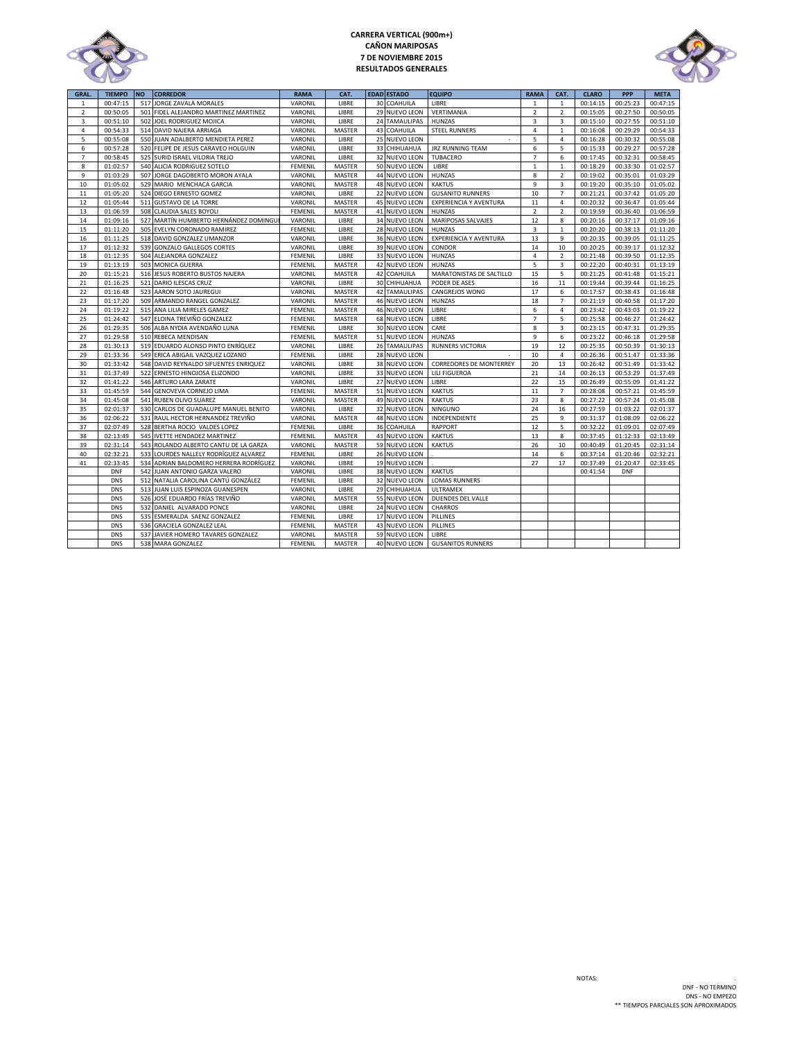

## **CARRERA VERTICAL (900m+) CAÑON MARIPOSAS 7 DE NOVIEMBRE 2015 RESULTADOS GENERALES**



| <b>GRAL</b>    | <b>TIEMPO</b> | <b>NO</b> | <b>CORREDOR</b>                        | <b>RAMA</b>    | CAT.          |    | <b>EDAD ESTADO</b>   | <b>EQUIPO</b>                  | <b>RAMA</b>    | CAT.                    | <b>CLARO</b> | <b>PPP</b> | <b>META</b> |
|----------------|---------------|-----------|----------------------------------------|----------------|---------------|----|----------------------|--------------------------------|----------------|-------------------------|--------------|------------|-------------|
| $\mathbf{1}$   | 00:47:15      | 517       | JORGE ZAVALA MORALES                   | VARONIL        | LIBRE         |    | 30 COAHUILA          | LIBRE                          | 1              | $\mathbf{1}$            | 00:14:15     | 00:25:23   | 00:47:15    |
| $\overline{2}$ | 00:50:05      | 501       | FIDEL ALEJANDRO MARTINEZ MARTINEZ      | VARONIL        | LIBRE         |    | 29 NUEVO LEON        | VERTIMANIA                     | $\overline{2}$ | $\overline{2}$          | 00:15:05     | 00:27:50   | 00:50:05    |
| 3              | 00:51:10      | 502       | JOEL RODRIGUEZ MOJICA                  | VARONIL        | LIBRE         |    | 24 TAMAULIPAS        | <b>HUNZAS</b>                  | $\overline{3}$ | $\overline{\mathbf{3}}$ | 00:15:10     | 00:27:55   | 00:51:10    |
| 4              | 00:54:33      |           | 514 DAVID NAJERA ARRIAGA               | VARONIL        | <b>MASTER</b> |    | 43 COAHUILA          | <b>STEEL RUNNERS</b>           | 4              | $\mathbf{1}$            | 00:16:08     | 00:29:29   | 00:54:33    |
| 5              | 00:55:08      |           | 550 JUAN ADALBERTO MENDIETA PEREZ      | VARONIL        | LIBRE         |    | 25 NUEVO LEON        |                                | 5              | $\overline{4}$          | 00:16:28     | 00:30:32   | 00:55:08    |
| 6              | 00:57:28      |           | 520 FELIPE DE JESUS CARAVEO HOLGUIN    | VARONIL        | LIBRE         |    | 33 CHIHUAHUA         | <b>JRZ RUNNING TEAM</b>        | 6              | 5                       | 00:15:33     | 00:29:27   | 00:57:28    |
| $\overline{7}$ | 00:58:45      | 525       | SURID ISRAEL VILORIA TREJO             | VARONIL        | LIBRE         |    | 32 NUEVO LEON        | TUBACERO                       | $\overline{7}$ | 6                       | 00:17:45     | 00:32:31   | 00:58:45    |
| 8              | 01:02:57      |           | 540 ALICIA RODRIGUEZ SOTELO            | FEMENIL        | MASTER        |    | 50 NUEVO LEON        | LIBRE                          | $\mathbf{1}$   | $\mathbf{1}$            | 00:18:29     | 00:33:30   | 01:02:57    |
| 9              | 01:03:29      | 507       | JORGE DAGOBERTO MORON AYALA            | VARONIL        | MASTER        |    | 44 NUEVO LEON        | <b>HUNZAS</b>                  | 8              | $\overline{2}$          | 00:19:02     | 00:35:01   | 01:03:29    |
| 10             | 01:05:02      |           | 529 MARIO MENCHACA GARCIA              | VARONIL        | MASTER        |    | 48 NUEVO LEON        | <b>KAKTUS</b>                  | $\overline{9}$ | 3                       | 00:19:20     | 00:35:10   | 01:05:02    |
| 11             | 01:05:20      |           | 524 DIEGO ERNESTO GOMEZ                | VARONIL        | LIBRE         |    | 22 NUEVO LEON        | <b>GUSANITO RUNNERS</b>        | 10             | $\overline{7}$          | 00:21:21     | 00:37:42   | 01:05:20    |
| 12             | 01:05:44      |           | 511 GUSTAVO DE LA TORRE                | VARONIL        | <b>MASTER</b> |    | 45 NUEVO LEON        | EXPERIENCIA Y AVENTURA         | 11             | $\overline{4}$          | 00:20:32     | 00:36:47   | 01:05:44    |
| 13             | 01:06:59      |           | 508 CLAUDIA SALES BOYOLI               | FEMENIL        | MASTER        |    | 41 NUEVO LEON        | <b>HUNZAS</b>                  | $\overline{2}$ | $\overline{2}$          | 00:19:59     | 00:36:40   | 01:06:59    |
| 14             | 01:09:16      | 527       | MARTÍN HUMBERTO HERNÁNDEZ DOMINGUI     | VARONIL        | LIBRE         |    | 34 NUEVO LEON        | MARIPOSAS SALVAJES             | 12             | 8                       | 00:20:16     | 00:37:17   | 01:09:16    |
| 15             | 01:11:20      |           | 505 EVELYN CORONADO RAMIREZ            | FEMENIL        | LIBRE         |    | 28 NUEVO LEON        | <b>HUNZAS</b>                  | $\overline{3}$ | $\mathbf{1}$            | 00:20:20     | 00:38:13   | 01:11:20    |
| 16             | 01:11:25      | 518       | DAVID GONZALEZ UMANZOR                 | VARONIL        | LIBRE         |    | 36 NUEVO LEON        | <b>EXPERIENCIA Y AVENTURA</b>  | 13             | 9                       | 00:20:35     | 00:39:05   | 01:11:25    |
| 17             | 01:12:32      | 539       | <b>GONZALO GALLEGOS CORTES</b>         | VARONIL        | LIBRE         |    | 39 NUEVO LEON        | CONDOR                         | 14             | 10                      | 00:20:25     | 00:39:17   | 01:12:32    |
| 18             | 01:12:35      |           | 504 ALEJANDRA GONZALEZ                 | <b>FEMENIL</b> | LIBRE         |    | 33 NUEVO LEON        | <b>HUNZAS</b>                  | $\overline{4}$ | $\overline{2}$          | 00:21:48     | 00:39:50   | 01:12:35    |
| 19             | 01:13:19      |           | 503 MONICA GUERRA                      | FEMENIL        | MASTER        | 42 | <b>NUEVO LEON</b>    | HUNZAS                         | 5              | $\overline{\mathbf{3}}$ | 00:22:20     | 00:40:31   | 01:13:19    |
| 20             | 01:15:21      | 516       | JESUS ROBERTO BUSTOS NAJERA            | VARONIL        | MASTER        | 42 | COAHUILA             | MARATONISTAS DE SALTILLO       | 15             | 5                       | 00:21:25     | 00:41:48   | 01:15:21    |
| 21             | 01:16:25      |           |                                        |                | LIBRE         |    |                      | PODER DE ASES                  | 16             | 11                      | 00:19:44     | 00:39:44   | 01:16:25    |
| 22             |               | 523       | 521 DARIO ILESCAS CRUZ                 | VARONIL        |               |    | 30 CHIHUAHUA         |                                | 17             | 6                       |              |            |             |
|                | 01:16:48      |           | AARON SOTO JAUREGUI                    | VARONIL        | MASTER        |    | <b>42 TAMAULIPAS</b> | CANGREJOS WONG                 |                | $\overline{7}$          | 00:17:57     | 00:38:43   | 01:16:48    |
| 23             | 01:17:20      |           | 509 ARMANDO RANGEL GONZALEZ            | VARONIL        | MASTER        |    | 46 NUEVO LEON        | <b>HUNZAS</b>                  | 18             |                         | 00:21:19     | 00:40:58   | 01:17:20    |
| 24             | 01:19:22      |           | 515 ANA LILIA MIRELES GAMEZ            | FEMENIL        | MASTER        |    | 46 NUEVO LEON        | LIBRE                          | 6              | $\sqrt{4}$              | 00:23:42     | 00:43:03   | 01:19:22    |
| 25             | 01:24:42      |           | 547 ELOINA TREVIÑO GONZALEZ            | <b>FEMENIL</b> | MASTER        |    | 68 NUEVO LEON        | LIBRE                          | $\overline{7}$ | 5                       | 00:25:58     | 00:46:27   | 01:24:42    |
| 26             | 01:29:35      |           | 506 ALBA NYDIA AVENDAÑO LUNA           | FEMENIL        | LIBRE         |    | 30 NUEVO LEON        | CARE                           | 8              | $\overline{3}$          | 00:23:15     | 00:47:31   | 01:29:35    |
| 27             | 01:29:58      |           | 510 REBECA MENDISAN                    | <b>FEMENIL</b> | MASTER        |    | 51 NUEVO LEON        | <b>HUNZAS</b>                  | 9              | 6                       | 00:23:22     | 00:46:18   | 01:29:58    |
| 28             | 01:30:13      |           | 519 EDUARDO ALONSO PINTO ENRÍQUEZ      | VARONIL        | LIBRE         |    | 26 TAMAULIPAS        | <b>RUNNERS VICTORIA</b>        | 19             | 12                      | 00:25:35     | 00:50:39   | 01:30:13    |
| 29             | 01:33:36      |           | 549 ERICA ABIGAIL VAZQUEZ LOZANO       | FEMENIL        | LIBRE         |    | 28 NUEVO LEON        |                                | 10             | 4                       | 00:26:36     | 00:51:47   | 01:33:36    |
| 30             | 01:33:42      |           | 548 DAVID REYNALDO SIFUENTES ENRIQUEZ  | VARONIL        | LIBRE         |    | 38 NUEVO LEON        | <b>CORREDORES DE MONTERREY</b> | 20             | 13                      | 00:26:42     | 00:51:49   | 01:33:42    |
| 31             | 01:37:49      | 522       | ERNESTO HINOJOSA ELIZONDO              | VARONIL        | LIBRE         |    | 33 NUEVO LEON        | LILI FIGUEROA                  | 21             | 14                      | 00:26:13     | 00:53:29   | 01:37:49    |
| 32             | 01:41:22      |           | 546 ARTURO LARA ZARATE                 | VARONIL        | LIBRE         |    | 27 NUEVO LEON        | LIBRE                          | 22             | 15                      | 00:26:49     | 00:55:09   | 01:41:22    |
| 33             | 01:45:59      | 544       | GENOVEVA CORNEJO LIMA                  | FEMENIL        | MASTER        |    | 51 NUEVO LEON        | <b>KAKTUS</b>                  | 11             | $\overline{7}$          | 00:28:08     | 00:57:21   | 01:45:59    |
| 34             | 01:45:08      |           | 541 RUBEN OLIVO SUAREZ                 | VARONIL        | MASTER        |    | 49 NUEVO LEON        | <b>KAKTUS</b>                  | 23             | 8                       | 00:27:22     | 00:57:24   | 01:45:08    |
| 35             | 02:01:37      | 530       | CARLOS DE GUADALUPE MANUEL BENITO      | VARONIL        | LIBRE         |    | 32 NUEVO LEON        | <b>NINGUNO</b>                 | 24             | 16                      | 00:27:59     | 01:03:22   | 02:01:37    |
| 36             | 02:06:22      |           | 531 RAUL HECTOR HERNANDEZ TREVIÑO      | VARONIL        | MASTER        |    | 48 NUEVO LEON        | INDEPENDIENTE                  | 25             | 9                       | 00:31:37     | 01:08:09   | 02:06:22    |
| 37             | 02:07:49      |           | 528 BERTHA ROCIO VALDES LOPEZ          | FEMENIL        | LIBRE         |    | 36 COAHUILA          | <b>RAPPORT</b>                 | 12             | 5                       | 00:32:22     | 01:09:01   | 02:07:49    |
| 38             | 02:13:49      | 545       | <b>IVETTE HENDADEZ MARTINEZ</b>        | <b>FEMENIL</b> | MASTER        |    | 43 NUEVO LEON        | <b>KAKTUS</b>                  | 13             | 8                       | 00:37:45     | 01:12:33   | 02:13:49    |
| 39             | 02:31:14      |           | 543 ROLANDO ALBERTO CANTU DE LA GARZA  | VARONIL        | MASTER        |    | 59 NUEVO LEON        | <b>KAKTUS</b>                  | 26             | 10                      | 00:40:49     | 01:20:45   | 02:31:14    |
| 40             | 02:32:21      | 533       | LOURDES NALLELY RODRÍGUEZ ALVAREZ      | FEMENIL        | LIBRE         |    | 26 NUEVO LEON        |                                | 14             | 6                       | 00:37:14     | 01:20:46   | 02:32:21    |
| 41             | 02:33:45      |           | 534 ADRIAN BALDOMERO HERRERA RODRÍGUEZ | VARONIL        | LIBRE         |    | 19 NUEVO LEON        |                                | 27             | 17                      | 00:37:49     | 01:20:47   | 02:33:45    |
|                | <b>DNF</b>    |           | 542 JUAN ANTONIO GARZA VALERO          | VARONIL        | LIBRE         |    | 38 NUEVO LEON        | <b>KAKTUS</b>                  |                |                         | 00:41:54     | <b>DNF</b> |             |
|                | <b>DNS</b>    | 512       | NATALIA CAROLINA CANTÚ GONZÁLEZ        | FEMENIL        | LIBRE         |    | 32 NUEVO LEON        | <b>LOMAS RUNNERS</b>           |                |                         |              |            |             |
|                | <b>DNS</b>    | 513       | JUAN LUIS ESPINOZA GUANESPEN           | VARONIL        | LIBRE         |    | 29 CHIHUAHUA         | <b>ULTRAMEX</b>                |                |                         |              |            |             |
|                | <b>DNS</b>    | 526       | JOSÉ EDUARDO FRÍAS TREVIÑO             | VARONIL        | MASTER        |    | 55 NUEVO LEON        | DUENDES DEL VALLE              |                |                         |              |            |             |
|                | <b>DNS</b>    | 532       | DANIEL ALVARADO PONCE                  | VARONIL        | LIBRE         |    | 24 NUEVO LEON        | <b>CHARROS</b>                 |                |                         |              |            |             |
|                | <b>DNS</b>    | 535       | ESMERALDA SAENZ GONZALEZ               | FEMENIL        | LIBRE         |    | 17 NUEVO LEON        | PILLINES                       |                |                         |              |            |             |
|                | <b>DNS</b>    | 536       | <b>GRACIELA GONZALEZ LEAL</b>          | FEMENIL        | MASTER        |    | 43 NUEVO LEON        | PILLINES                       |                |                         |              |            |             |
|                | <b>DNS</b>    |           | 537 JAVIER HOMERO TAVARES GONZALEZ     | VARONIL        | <b>MASTER</b> |    | 59 NUEVO LEON        | LIBRE                          |                |                         |              |            |             |
|                | <b>DNS</b>    |           | 538 MARA GONZALEZ                      | FEMENIL        | MASTER        |    | 40 NUEVO LEON        | <b>GUSANITOS RUNNERS</b>       |                |                         |              |            |             |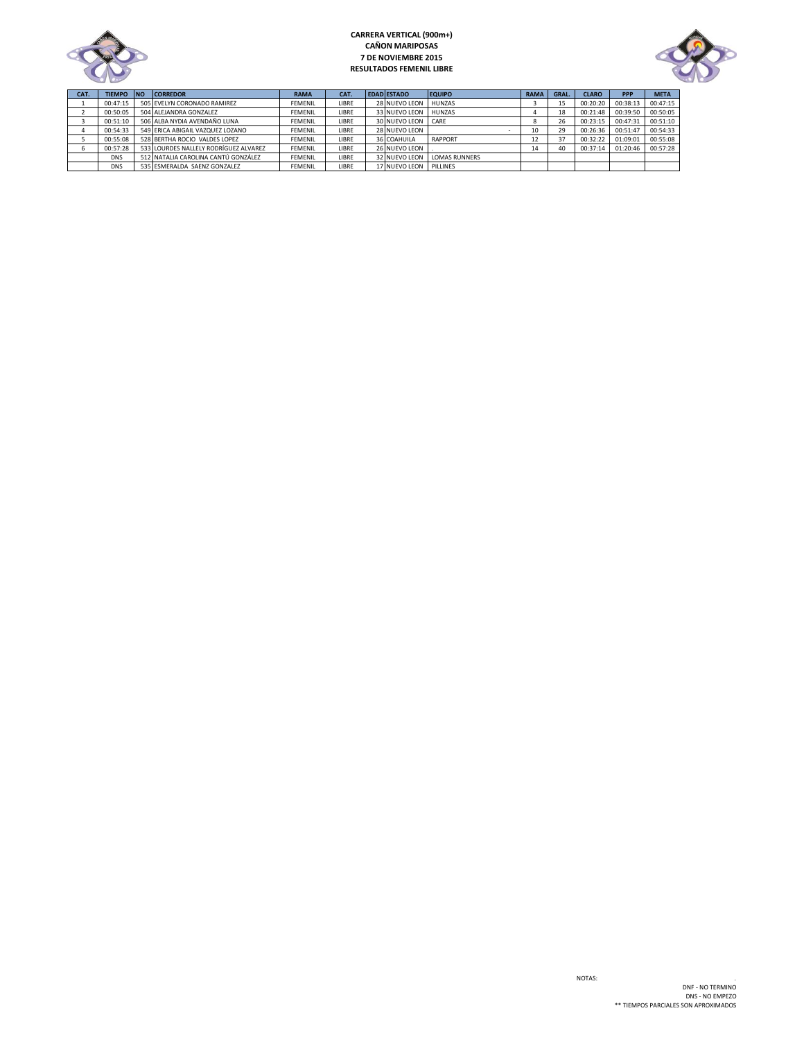

# **CARRERA VERTICAL (900m+) CAÑON MARIPOSAS 7 DE NOVIEMBRE 2015 RESULTADOS FEMENIL LIBRE**



| CAT. | TIEMPO NO  | <b>CORREDOR</b>                       | <b>RAMA</b>    | CAT.  | <b>EDAD ESTADO</b> | <b>EQUIPO</b>        | <b>RAMA</b>              | GRAL. | <b>CLARO</b> | <b>PPP</b> | <b>META</b> |
|------|------------|---------------------------------------|----------------|-------|--------------------|----------------------|--------------------------|-------|--------------|------------|-------------|
|      | 00:47:15   | 505 EVELYN CORONADO RAMIREZ           | <b>FEMENIL</b> | LIBRE | 28 NUEVO LEON      | <b>HUNZAS</b>        |                          | 15    | 00:20:20     | 00:38:13   | 00:47:15    |
|      | 00:50:05   | 504 ALEJANDRA GONZALEZ                | <b>FEMENIL</b> | LIBRE | 33 NUEVO LEON      | HUNZAS               |                          | 18    | 00:21:48     | 00:39:50   | 00:50:05    |
|      | 00:51:10   | 506 ALBA NYDIA AVENDAÑO LUNA          | <b>FEMENIL</b> | LIBRE | 30 NUEVO LEON CARE |                      |                          | 26    | 00:23:15     | 00:47:31   | 00:51:10    |
|      | 00:54:33   | 549 ERICA ABIGAIL VAZQUEZ LOZANO      | <b>FEMENIL</b> | LIBRE | 28 NUEVO LEON      |                      | 10                       | 29    | 00:26:36     | 00:51:47   | 00:54:33    |
|      | 00:55:08   | 528 BERTHA ROCIO VALDES LOPEZ         | <b>FEMENIL</b> | LIBRE | 36 COAHUILA        | <b>RAPPORT</b>       | $\overline{\phantom{a}}$ | 37    | 00:32:22     | 01:09:01   | 00:55:08    |
|      | 00:57:28   | 533 LOURDES NALLELY RODRÍGUEZ ALVAREZ | <b>FEMENIL</b> | LIBRE | 26 NUEVO LEON      |                      | 14                       | 40    | 00:37:14     | 01:20:46   | 00:57:28    |
|      | <b>DNS</b> | 512 NATALIA CAROLINA CANTÚ GONZÁLEZ   | <b>FEMENIL</b> | LIBRE | 32 NUEVO LEON      | <b>LOMAS RUNNERS</b> |                          |       |              |            |             |
|      | <b>DNS</b> | 535 ESMERALDA SAENZ GONZALEZ          | <b>FFMFNIL</b> | LIBRE | 17 NUEVO LEON      | PILLINES             |                          |       |              |            |             |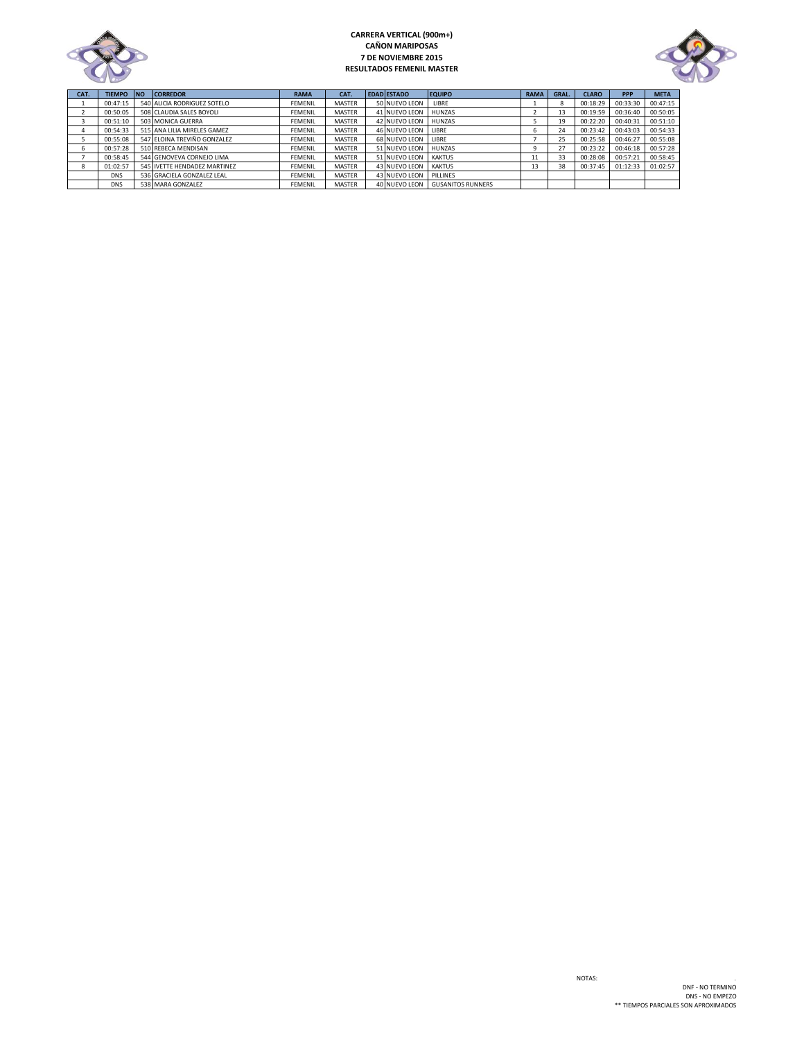

## **CARRERA VERTICAL (900m+) CAÑON MARIPOSAS 7 DE NOVIEMBRE 2015 RESULTADOS FEMENIL MASTER**



| CAT. | <b>TIEMPO</b> | <b>INO</b> | <b>CORREDOR</b>              | <b>RAMA</b>    | CAT.          | <b>EDAD ESTADO</b> | <b>EQUIPO</b>            | <b>RAMA</b> | GRAL. | <b>CLARO</b> | PPP      | <b>META</b> |
|------|---------------|------------|------------------------------|----------------|---------------|--------------------|--------------------------|-------------|-------|--------------|----------|-------------|
|      | 00:47:15      |            | 540 ALICIA RODRIGUEZ SOTELO  | <b>FEMENIL</b> | MASTER        | 50 NUEVO LEON      | LIBRE                    |             |       | 00:18:29     | 00:33:30 | 00:47:15    |
|      | 00:50:05      |            | 508 CLAUDIA SALES BOYOLI     | FEMENIL        | <b>MASTER</b> | 41 NUEVO LEON      | HUNZAS                   |             | 13    | 00:19:59     | 00:36:40 | 00:50:05    |
|      | 00:51:10      |            | 503 MONICA GUERRA            | <b>FEMENIL</b> | <b>MASTER</b> | 42 NUEVO LEON      | <b>HUNZAS</b>            |             | 19    | 00:22:20     | 00:40:31 | 00:51:10    |
|      | 00:54:33      |            | 515 ANA LILIA MIRELES GAMEZ  | <b>FEMENIL</b> | MASTER        | 46 NUEVO LEON      | LIBRE                    |             | 24    | 00:23:42     | 00:43:03 | 00:54:33    |
|      | 00:55:08      |            | 547 ELOINA TREVIÑO GONZALEZ  | FEMENIL        | <b>MASTER</b> | 68 NUEVO LEON      | LIBRE                    |             | 25    | 00:25:58     | 00:46:27 | 00:55:08    |
| O    | 00:57:28      |            | 510 REBECA MENDISAN          | <b>FEMENIL</b> | <b>MASTER</b> | 51 NUEVO LEON      | HUNZAS                   |             | 27    | 00:23:22     | 00:46:18 | 00:57:28    |
|      | 00:58:45      |            | 544 GENOVEVA CORNEJO LIMA    | <b>FEMENIL</b> | <b>MASTER</b> | 51 NUEVO LEON      | <b>KAKTUS</b>            | 11          | 33    | 00:28:08     | 00:57:21 | 00:58:45    |
|      | 01:02:57      |            | 545 IVETTE HENDADEZ MARTINEZ | <b>FEMENIL</b> | <b>MASTER</b> | 43 NUEVO LEON      | <b>KAKTUS</b>            | 13          | 38    | 00:37:45     | 01:12:33 | 01:02:57    |
|      | <b>DNS</b>    |            | 536 GRACIELA GONZALEZ LEAL   | <b>FEMENIL</b> | <b>MASTER</b> | 43 NUEVO LEON      | PILLINES                 |             |       |              |          |             |
|      | <b>DNS</b>    |            | 538 MARA GONZALEZ            | FEMENIL        | MASTER        | 40 NUEVO LEON      | <b>GUSANITOS RUNNERS</b> |             |       |              |          |             |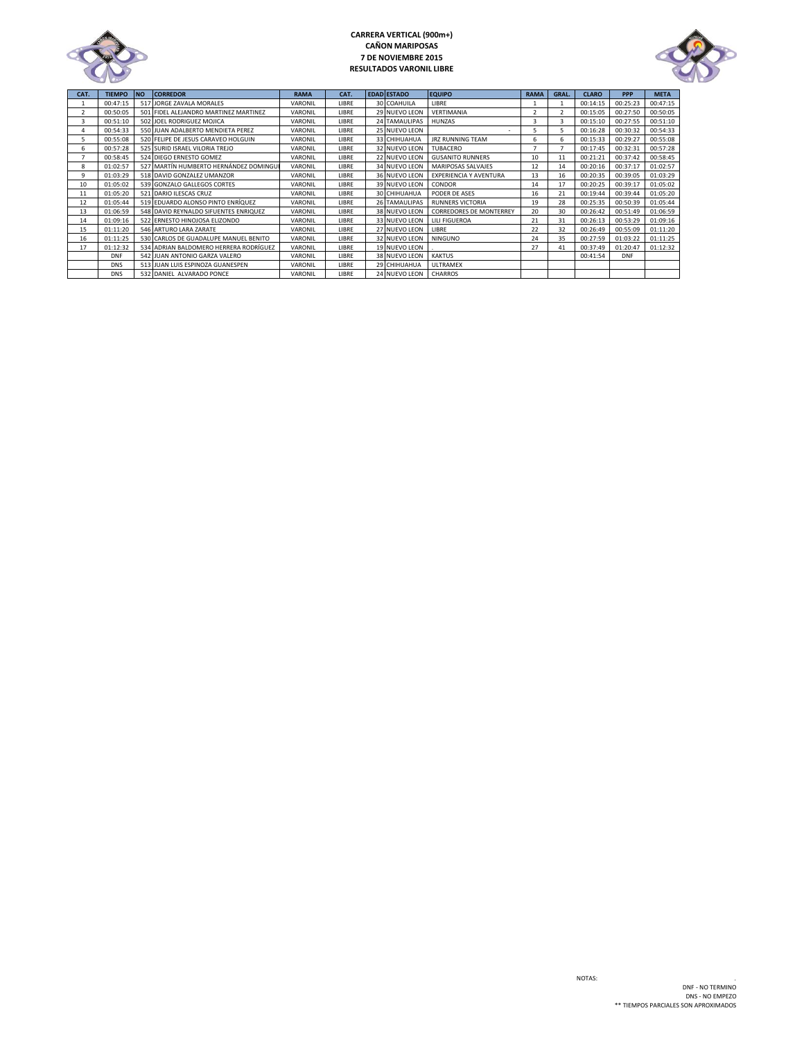

## **CARRERA VERTICAL (900m+) CAÑON MARIPOSAS 7 DE NOVIEMBRE 2015 RESULTADOS VARONIL LIBRE**



| CAT.           | <b>TIEMPO</b> | <b>NO</b> | <b>CORREDOR</b>                        | <b>RAMA</b> | CAT.  | <b>EDAD ESTADO</b>    | <b>EQUIPO</b>                  | <b>RAMA</b>              | GRAL.                    | <b>CLARO</b> | PPP        | <b>META</b> |
|----------------|---------------|-----------|----------------------------------------|-------------|-------|-----------------------|--------------------------------|--------------------------|--------------------------|--------------|------------|-------------|
|                | 00:47:15      |           | 517 JORGE ZAVALA MORALES               | VARONIL     | LIBRE | 30 COAHUILA           | LIBRE                          |                          |                          | 00:14:15     | 00:25:23   | 00:47:15    |
| $\mathfrak{p}$ | 00:50:05      |           | 501 FIDEL ALEJANDRO MARTINEZ MARTINEZ  | VARONIL     | LIBRE | 29 NUEVO LEON         | VERTIMANIA                     | $\overline{\phantom{a}}$ | $\overline{\phantom{a}}$ | 00:15:05     | 00:27:50   | 00:50:05    |
| 3              | 00:51:10      |           | 502 JOEL RODRIGUEZ MOJICA              | VARONIL     | LIBRE | <b>24 TAMAULIPAS</b>  | <b>HUNZAS</b>                  | Ŕ                        | 3                        | 00:15:10     | 00:27:55   | 00:51:10    |
| 4              | 00:54:33      |           | 550 JUAN ADALBERTO MENDIETA PEREZ      | VARONIL     | LIBRE | 25 NUEVO LEON         |                                |                          | 5                        | 00:16:28     | 00:30:32   | 00:54:33    |
| 5              | 00:55:08      |           | 520 FELIPE DE JESUS CARAVEO HOLGUIN    | VARONIL     | LIBRE | 33 CHIHUAHUA          | <b>JRZ RUNNING TEAM</b>        | 6                        | 6                        | 00:15:33     | 00:29:27   | 00:55:08    |
| 6              | 00:57:28      |           | 525 SURID ISRAEL VILORIA TREJO         | VARONIL     | LIBRE | 32 NUEVO LEON         | TUBACERO                       |                          |                          | 00:17:45     | 00:32:31   | 00:57:28    |
|                | 00:58:45      |           | 524 DIEGO ERNESTO GOMEZ                | VARONIL     | LIBRE | 22 NUEVO LEON         | <b>GUSANITO RUNNERS</b>        | 10                       | 11                       | 00:21:21     | 00:37:42   | 00:58:45    |
| 8              | 01:02:57      |           | 527 MARTÍN HUMBERTO HERNÁNDEZ DOMINGUI | VARONIL     | LIBRE | 34 NUEVO LEON         | MARIPOSAS SALVAJES             | 12                       | 14                       | 00:20:16     | 00:37:17   | 01:02:57    |
| 9              | 01:03:29      |           | 518 DAVID GONZALEZ UMANZOR             | VARONIL     | LIBRE | 36 NUEVO LEON         | <b>EXPERIENCIA Y AVENTURA</b>  | 13                       | 16                       | 00:20:35     | 00:39:05   | 01:03:29    |
| 10             | 01:05:02      |           | 539 GONZALO GALLEGOS CORTES            | VARONIL     | LIBRE | 39 NUEVO LEON         | <b>CONDOR</b>                  | 14                       | 17                       | 00:20:25     | 00:39:17   | 01:05:02    |
| 11             | 01:05:20      |           | 521 DARIO ILESCAS CRUZ                 | VARONIL     | LIBRE | 30 CHIHUAHUA          | PODER DE ASES                  | 16                       | 21                       | 00:19:44     | 00:39:44   | 01:05:20    |
| 12             | 01:05:44      |           | 519 EDUARDO ALONSO PINTO ENRÍQUEZ      | VARONIL     | LIBRE | <b>26 TAMAULIPAS</b>  | <b>RUNNERS VICTORIA</b>        | 19                       | 28                       | 00:25:35     | 00:50:39   | 01:05:44    |
| 13             | 01:06:59      |           | 548 DAVID REYNALDO SIFUENTES ENRIQUEZ  | VARONIL     | LIBRE | 38 NUEVO LEON         | <b>CORREDORES DE MONTERREY</b> | 20                       | 30                       | 00:26:42     | 00:51:49   | 01:06:59    |
| 14             | 01:09:16      |           | 522 ERNESTO HINOJOSA ELIZONDO          | VARONIL     | LIBRE | 33 NUEVO LEON         | <b>LILI FIGUEROA</b>           | 21                       | 31                       | 00:26:13     | 00:53:29   | 01:09:16    |
| 15             | 01:11:20      |           | 546 ARTURO LARA ZARATE                 | VARONIL     | LIBRE | 27 NUEVO LEON         | LIBRE                          | 22                       | 32                       | 00:26:49     | 00:55:09   | 01:11:20    |
| 16             | 01:11:25      |           | 530 CARLOS DE GUADALUPE MANUEL BENITO  | VARONIL     | LIBRE | 32 NUEVO LEON         | <b>NINGUNO</b>                 | 24                       | 35                       | 00:27:59     | 01:03:22   | 01:11:25    |
| 17             | 01:12:32      |           | 534 ADRIAN BALDOMERO HERRERA RODRÍGUEZ | VARONIL     | LIBRE | 19 NUEVO LEON         |                                | 27                       | 41                       | 00:37:49     | 01:20:47   | 01:12:32    |
|                | <b>DNF</b>    |           | 542 JUAN ANTONIO GARZA VALERO          | VARONIL     | LIBRE | 38 NUEVO LEON         | <b>KAKTUS</b>                  |                          |                          | 00:41:54     | <b>DNF</b> |             |
|                | <b>DNS</b>    |           | 513 JUAN LUIS ESPINOZA GUANESPEN       | VARONIL     | LIBRE | 29 CHIHUAHUA          | <b>ULTRAMEX</b>                |                          |                          |              |            |             |
|                | <b>DNS</b>    |           | 532 DANIEL ALVARADO PONCE              | VARONIL     | LIBRE | 24 NUEVO LEON CHARROS |                                |                          |                          |              |            |             |